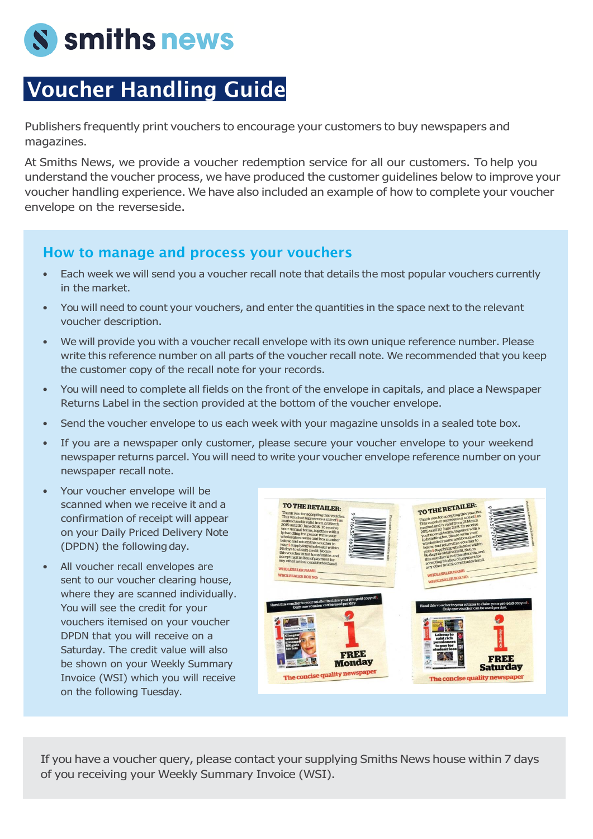

## **Voucher Handling Guide**

Publishers frequently print vouchers to encourage your customers to buy newspapers and magazines.

At Smiths News, we provide a voucher redemption service for all our customers. To help you understand the voucher process, we have produced the customer guidelines below to improve your voucher handling experience. We have also included an example of how to complete your voucher envelope on the reverseside.

## **How to manage and process your vouchers**

- Each week we will send you a voucher recall note that details the most popular vouchers currently in the market.
- You will need to count your vouchers, and enter the quantities in the space next to the relevant voucher description.
- We will provide you with a voucher recall envelope with its own unique reference number. Please write this reference number on all parts of the voucher recall note. We recommended that you keep the customer copy of the recall note for your records.
- You will need to complete all fields on the front of the envelope in capitals, and place a Newspaper Returns Label in the section provided at the bottom of the voucher envelope.
- Send the voucher envelope to us each week with your magazine unsolds in a sealed tote box.
- If you are a newspaper only customer, please secure your voucher envelope to your weekend newspaper returns parcel. You will need to write your voucher envelope reference number on your newspaper recall note.
- Your voucher envelope will be scanned when we receive it and a confirmation of receipt will appear on your Daily Priced Delivery Note (DPDN) the following day.
- All voucher recall envelopes are sent to our voucher clearing house, where they are scanned individually. You will see the credit for your vouchers itemised on your voucher DPDN that you will receive on a Saturday. The credit value will also be shown on your Weekly Summary Invoice (WSI) which you will receive on the following Tuesday.



If you have a voucher query, please contact your supplying Smiths News house within 7 days of you receiving your Weekly Summary Invoice (WSI).